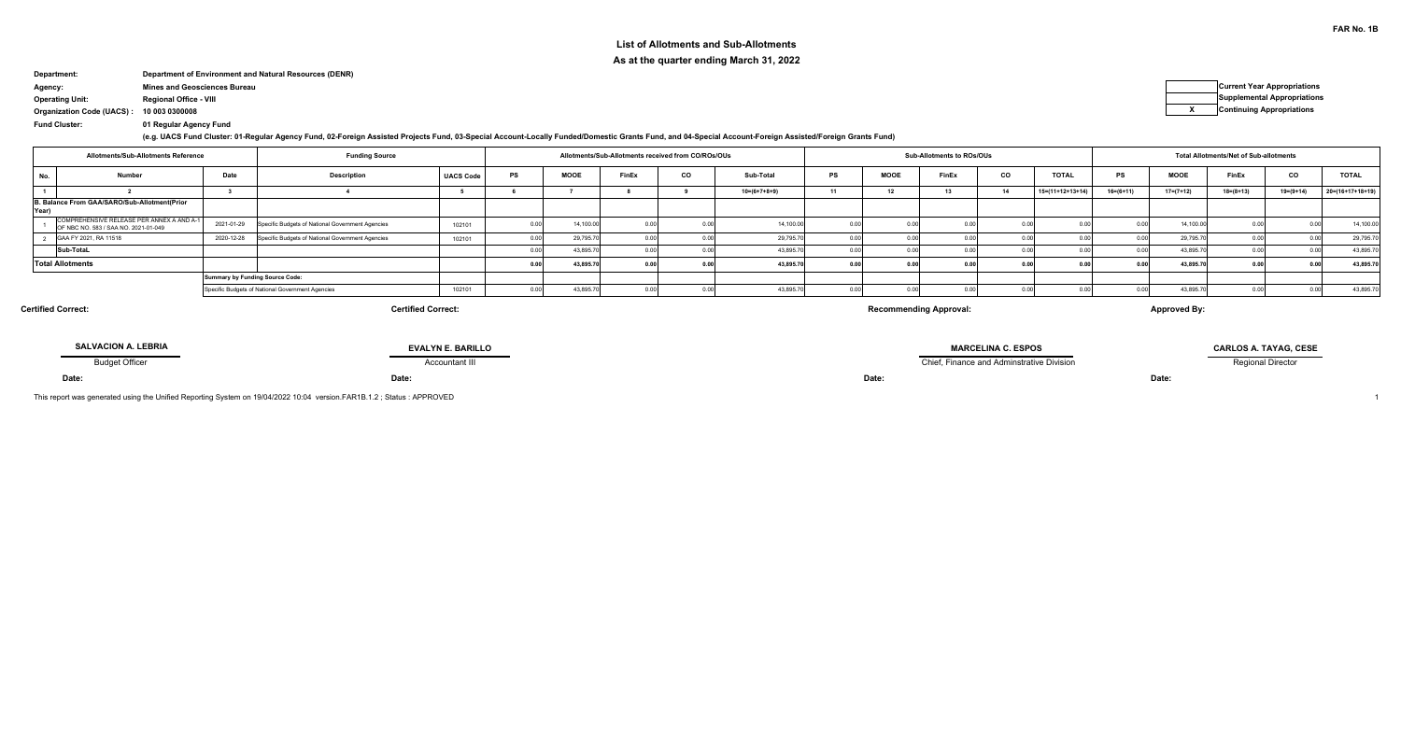## **List of Allotments and Sub-AllotmentsAs at the quarter ending March 31, 2022**

# **Department: Department of Environment and Natural Resources (DENR)**

**Agency: Mines and Geosciences Bureau Current Year Appropriations**

**Operating Unit: Regional Office - VIII Supplemental Appropriations**

**10 003 0300008Organization Code (UACS) :<sup>X</sup> Continuing Appropriations**

**Fund Cluster: 01 Regular Agency Fund**

**(e.g. UACS Fund Cluster: 01-Regular Agency Fund, 02-Foreign Assisted Projects Fund, 03-Special Account-Locally Funded/Domestic Grants Fund, and 04-Special Account-Foreign Assisted/Foreign Grants Fund)**

| <b>Funding Source</b><br>Allotments/Sub-Allotments Reference |                                                                                   |            |                                                  |                  | Allotments/Sub-Allotments received from CO/ROs/OUs |               |    |                |    | Sub-Allotments to ROs/OUs |       |    | <b>Total Allotments/Net of Sub-allotments</b> |             |                 |                 |                 |                    |
|--------------------------------------------------------------|-----------------------------------------------------------------------------------|------------|--------------------------------------------------|------------------|----------------------------------------------------|---------------|----|----------------|----|---------------------------|-------|----|-----------------------------------------------|-------------|-----------------|-----------------|-----------------|--------------------|
| . No.                                                        | Number                                                                            | Date       | <b>Description</b>                               | <b>UACS Code</b> | <b>MOOE</b>                                        | FinEx         | co | Sub-Total      | PS | <b>MOOE</b>               | FinEx | co | <b>TOTAL</b>                                  | <b>PS</b>   | <b>MOOE</b>     | FinEx           | co              | <b>TOTAL</b>       |
|                                                              |                                                                                   |            |                                                  |                  |                                                    |               |    | $10=(6+7+8+9)$ | 11 |                           |       | 14 | $15=(11+12+13+14)$                            | $16=(6+11)$ | $17 = (7 + 12)$ | $18 = (8 + 13)$ | $19 = (9 + 14)$ | $20=(16+17+18+19)$ |
| Year                                                         | B. Balance From GAA/SARO/Sub-Allotment(Prior                                      |            |                                                  |                  |                                                    |               |    |                |    |                           |       |    |                                               |             |                 |                 |                 |                    |
|                                                              | COMPREHENSIVE RELEASE PER ANNEX A AND A-1<br>OF NBC NO. 583 / SAA NO. 2021-01-049 | 2021-01-29 | Specific Budgets of National Government Agencies | 102101           | 14,100.0                                           |               |    | 14,100.00      |    |                           |       |    |                                               |             | 14,100.0        |                 |                 | 14,100.0           |
|                                                              | GAA FY 2021, RA 11518                                                             | 2020-12-28 | Specific Budgets of National Government Agencies | 102101           | 29,795.7                                           |               |    | 29,795.7       |    |                           |       |    |                                               |             | 29,795.7        |                 |                 | 29,795.7           |
|                                                              | Sub-TotaL                                                                         |            |                                                  |                  | 43.895.7                                           |               |    | 43,895.7       |    |                           |       |    |                                               |             | 43,895          |                 |                 | 43,895.7           |
|                                                              | <b>Total Allotments</b>                                                           |            |                                                  |                  | 43,895.70                                          | $\sim$ $\sim$ |    | 43,895.7       |    |                           |       |    |                                               | 0.0         | 43,895.7        |                 |                 | 43,895.7           |
|                                                              |                                                                                   |            | <b>Summary by Funding Source Code:</b>           |                  |                                                    |               |    |                |    |                           |       |    |                                               |             |                 |                 |                 |                    |
|                                                              |                                                                                   |            | Specific Budgets of National Government Agencies | 102101           | 43.895.7                                           |               |    | 43,895.7       |    |                           |       |    |                                               |             | 43,895          |                 |                 | 43,895.7           |

**Certified Correct:**

### **Certified Correct:**

**Recommending Approval:**

**Approved By:**

| <b>SALVACION A. LEBRIA</b> | <b>EVALYN E. BARILLO</b> | <b>MARCELINA C. ESPOS</b>                 | CARLOS A. TAYAG. CESE    |
|----------------------------|--------------------------|-------------------------------------------|--------------------------|
| <b>Budget Officer</b>      | Accountant II'           | Chief. Finance and Adminstrative Division | <b>Regional Director</b> |
| Date:                      | $-1 - 1$<br>valo.        | Date:                                     | <b>Date</b>              |

This report was generated using the Unified Reporting System on 19/04/2022 10:04 version.FAR1B.1.2 ; Status : APPROVED $\overline{D}$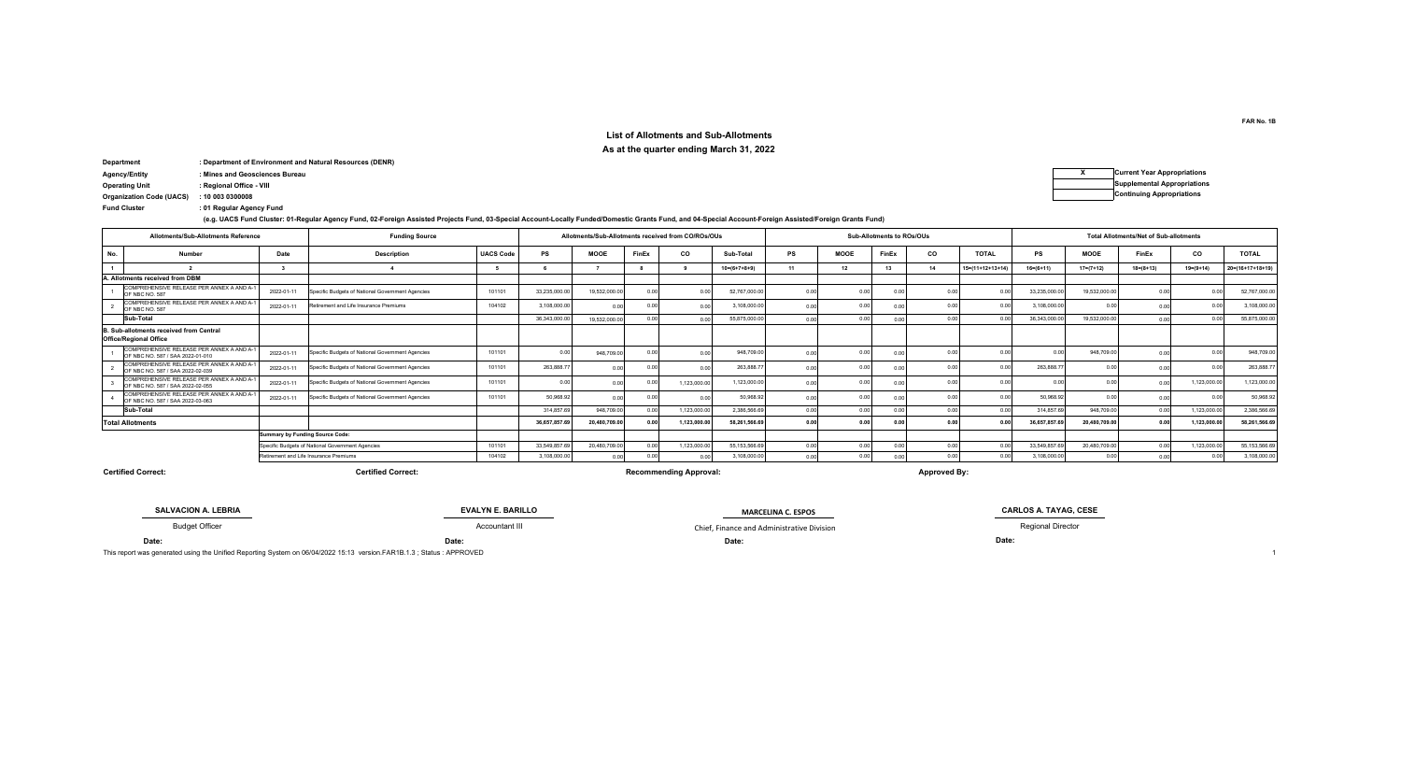#### **List of Allotments and Sub-AllotmentsAs at the quarter ending March 31, 2022**

| Department           | : Department of Environment and Natural Resources (DENR) |                                    |
|----------------------|----------------------------------------------------------|------------------------------------|
| <b>Agency/Entity</b> | : Mines and Geosciences Bureau                           | <b>Current Year Appropriations</b> |
| Conception Unit      | : Regional Office MIL                                    | Supplemental Appropriation         |

| Agency/Entity                   | : Mines and Geosciences Bureau | <b>Current Year Appropriations</b> |
|---------------------------------|--------------------------------|------------------------------------|
| Operating Unit                  | : Regional Office - VIII       | <b>Supplemental Appropriations</b> |
| <b>Organization Code (UACS)</b> | : 10 003 0300008               | <b>Continuing Appropriations</b>   |
| _____                           |                                |                                    |

**:Fund Cluster 01 Regular Agency Fund**

**(e.g. UACS Fund Cluster: 01-Regular Agency Fund, 02-Foreign Assisted Projects Fund, 03-Special Account-Locally Funded/Domestic Grants Fund, and 04-Special Account-Foreign Assisted/Foreign Grants Fund)**

|     | Allotments/Sub-Allotments Reference                                           |                                 | <b>Funding Source</b>                            |                  |               |               |       | Allotments/Sub-Allotments received from CO/ROs/OUs |                        |                |                | Sub-Allotments to ROs/OUs |                            |                  |                 |                 | <b>Total Allotments/Net of Sub-allotments</b> |                            |                            |
|-----|-------------------------------------------------------------------------------|---------------------------------|--------------------------------------------------|------------------|---------------|---------------|-------|----------------------------------------------------|------------------------|----------------|----------------|---------------------------|----------------------------|------------------|-----------------|-----------------|-----------------------------------------------|----------------------------|----------------------------|
| No. | Number                                                                        | Date                            | <b>Description</b>                               | <b>UACS Code</b> | <b>PS</b>     | <b>MOOE</b>   | FinEx | co                                                 | Sub-Total              | PS             | MOOE           | FinEx                     | co                         | <b>TOTAL</b>     | PS              | <b>MOOE</b>     | FinEx                                         | co                         | <b>TOTAL</b>               |
|     |                                                                               |                                 |                                                  |                  |               |               |       |                                                    | $10 = (6 + 7 + 8 + 9)$ |                | 12             | 13                        | 14                         | 15=(11+12+13+14) | $16 = (6 + 11)$ | $17 = (7 + 12)$ | $18 = (8 + 13)$                               | $19 = (9 + 14)$            | $20 = (16 + 17 + 18 + 19)$ |
|     | A. Allotments received from DBM                                               |                                 |                                                  |                  |               |               |       |                                                    |                        |                |                |                           |                            |                  |                 |                 |                                               |                            |                            |
|     | COMPREHENSIVE RELEASE PER ANNEX A AND A-1<br>OF NBC NO. 587                   | 2022-01-11                      | Specific Budgets of National Government Agencies | 101101           | 33.235.000.00 | 19.532.000.0  |       | 0.00                                               | 52,767,000.0           | 0.01           | 0.00           | 0.00                      | 0.0                        | 000              | 33.235.000.00   | 19.532.000.00   | 0.00                                          |                            | 52.767.000.00              |
|     | COMPREHENSIVE RELEASE PER ANNEX A AND A-1<br>OF NBC NO. 587                   | 2022-01-11                      | Retirement and Life Insurance Premiums           | 104102           | 3.108.000.00  | 0.00          |       | 0.00                                               | 3.108.000.0            | 0.01           | 0.00           |                           | 0.00                       | 0 <sub>0</sub>   | 3.108.000.00    | 0.00            | 0.00                                          |                            | 3.108.000.00               |
|     | Sub-Total                                                                     |                                 |                                                  |                  | 36.343.000.00 | 19.532.000.0  |       | 0.00                                               | 55.875.000.0           | 0.01           | 0.00           |                           | 0.00                       | 0.00             | 36,343,000.00   | 19.532.000.00   | 0.00                                          |                            | 55.875.000.00              |
|     | B. Sub-allotments received from Central<br><b>Office/Regional Office</b>      |                                 |                                                  |                  |               |               |       |                                                    |                        |                |                |                           |                            |                  |                 |                 |                                               |                            |                            |
|     | COMPREHENSIVE RELEASE PER ANNEX A AND A-1<br>OF NBC NO. 587 / SAA 2022-01-010 | 2022-01-11                      | Specific Budgets of National Government Agencies | 101101           |               | 948,709.0     |       | 0.0                                                | 948,709.0              | 0.0            | n n            |                           | 0 <sub>0</sub>             |                  | 0 <sub>0</sub>  | 948,709.00      |                                               |                            | 948,709.00                 |
|     | COMPREHENSIVE RELEASE PER ANNEX A AND A-1<br>OF NBC NO. 587 / SAA 2022-02-039 | 2022-01-11                      | Specific Budgets of National Government Agencies | 101101           | 263,888.      | 0.00          |       | 0.01                                               | 263,888.               | 0.0            | n n            |                           | 0.00                       | 0.OO             | 263.888.7       | 0.00            |                                               | 0 <sub>0</sub>             | 263.888.77                 |
|     | COMPREHENSIVE RELEASE PER ANNEX A AND A-1<br>OF NBC NO. 587 / SAA 2022-02-055 | 2022-01-11                      | Specific Budgets of National Government Agencies | 101101           |               | 0.00          |       | 1,123,000.00                                       | 1.123.000.0            |                | 0.00           |                           | 0.0                        |                  |                 | 0.00            | 0 <sub>0</sub>                                | 1,123,000.0                | 1,123,000.00               |
|     | COMPREHENSIVE RELEASE PER ANNEX A AND A-1<br>OF NBC NO. 587 / SAA 2022-03-063 | 2022-01-11                      | Specific Budgets of National Government Agencies | 101101           | 50.968.92     | 0.00          |       | 0.00                                               | 50.968.                | 0.01           | n n            |                           | 0 <sup>0<sup>c</sup></sup> |                  | 50.968.92       | 0.00            | 0 <sub>0</sub>                                |                            | 50.968.92                  |
|     | Sub-Total                                                                     |                                 |                                                  |                  | 314,857.69    | 948,709.00    | 0.00  | 1.123.000.00                                       | 2.386.566.6            | 0.01           | 0.00           |                           | 0.00                       | 0.00             | 314,857.69      | 948,709.00      | 0.00                                          | 1.123.000.00               | 2.386.566.69               |
|     | <b>Total Allotments</b>                                                       |                                 |                                                  |                  | 36,657,857.6  | 20,480,709.00 |       | 1.123.000.00                                       | 58,261,566.6           | 0.01           | 0 <sub>0</sub> |                           | 0.00                       | 0.0              | 36,657,857.69   | 20,480,709.00   | 0.00                                          | 1.123.000.0                | 58.261.566.69              |
|     |                                                                               | Summary by Funding Source Code: |                                                  |                  |               |               |       |                                                    |                        |                |                |                           |                            |                  |                 |                 |                                               |                            |                            |
|     |                                                                               |                                 | Specific Budgets of National Government Agencies | 101101           | 33.549.857.6  | 20.480.709.00 |       | 1.123.000.00                                       | 55.153.566.            | 0 <sup>0</sup> | 0.00           |                           | 0.00                       | 0.00             | 33.549.857.6    | 20.480.709.00   | 0.00                                          | 1,123,000.0                | 55, 153, 566.69            |
|     |                                                                               |                                 | Retirement and Life Insurance Premiums           | 104102           | 3.108.000.00  | 0.00          |       | 0.00                                               | 3.108.000.0            | 0.01           | 0.00           |                           | 0.00                       | 0.00             | 3,108,000.00    | 0.00            | 0.00                                          | 0 <sup>0<sup>c</sup></sup> | 3,108,000.00               |

**Certified Correct:**

**Certified Correct: Recommending Approval: Approved By:**

Accountant III Chief, Finance and Administrative Division

**Date:SALVACION A. LEBRIA**Budget Officer

**Date: Date:**

**EVALYN E. BARILLO**

**MARCELINA C. ESPOS**

**CARLOS A. TAYAG, CESE MARCELINA C. ESPOS** 

Regional Director

**Date:**

This report was generated using the Unified Reporting System on 06/04/2022 15:13 version.FAR1B.1.3 ; Status : APPROVED $\blacksquare$ 

**FAR No. 1B**